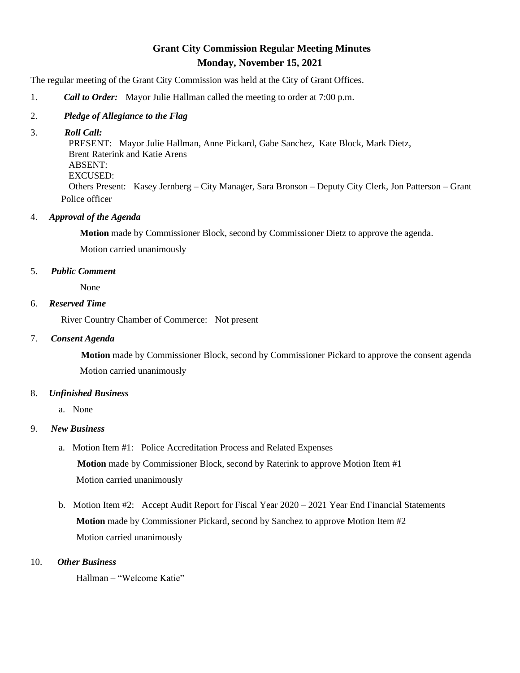# **Grant City Commission Regular Meeting Minutes Monday, November 15, 2021**

The regular meeting of the Grant City Commission was held at the City of Grant Offices.

1. *Call to Order:* Mayor Julie Hallman called the meeting to order at 7:00 p.m.

### 2. *Pledge of Allegiance to the Flag*

### 3. *Roll Call:*

 PRESENT: Mayor Julie Hallman, Anne Pickard, Gabe Sanchez, Kate Block, Mark Dietz, Brent Raterink and Katie Arens ABSENT: EXCUSED: Others Present: Kasey Jernberg – City Manager, Sara Bronson – Deputy City Clerk, Jon Patterson – Grant Police officer

### 4. *Approval of the Agenda*

**Motion** made by Commissioner Block, second by Commissioner Dietz to approve the agenda.

Motion carried unanimously

### 5. *Public Comment*

None

### 6. *Reserved Time*

River Country Chamber of Commerce: Not present

### 7. *Consent Agenda*

 **Motion** made by Commissioner Block, second by Commissioner Pickard to approve the consent agenda Motion carried unanimously

## 8. *Unfinished Business*

a. None

## 9. *New Business*

- a. Motion Item #1: Police Accreditation Process and Related Expenses **Motion** made by Commissioner Block, second by Raterink to approve Motion Item #1 Motion carried unanimously
- b. Motion Item #2: Accept Audit Report for Fiscal Year 2020 2021 Year End Financial Statements **Motion** made by Commissioner Pickard, second by Sanchez to approve Motion Item #2 Motion carried unanimously

## 10. *Other Business*

Hallman – "Welcome Katie"